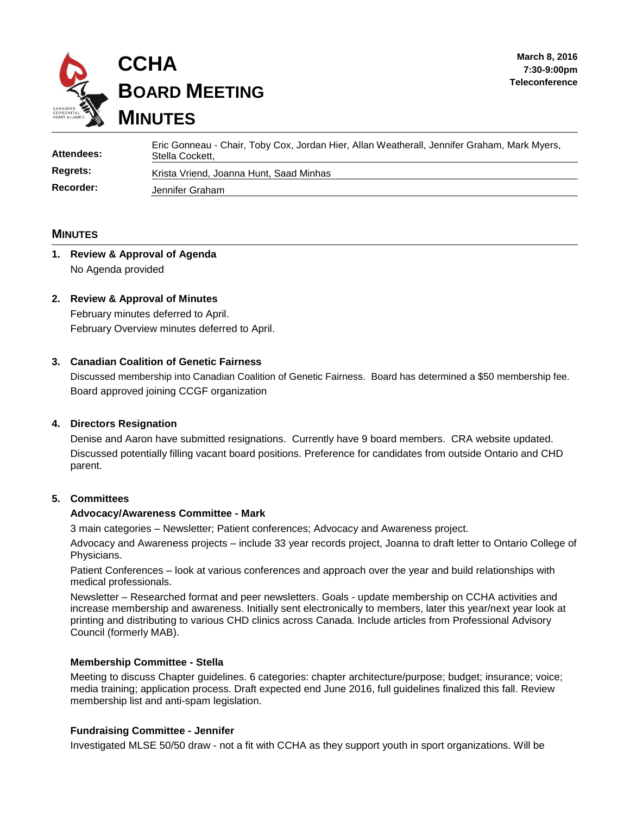

| Attendees:      | Eric Gonneau - Chair, Toby Cox, Jordan Hier, Allan Weatherall, Jennifer Graham, Mark Myers,<br>Stella Cockett, |
|-----------------|----------------------------------------------------------------------------------------------------------------|
| <b>Regrets:</b> | Krista Vriend, Joanna Hunt, Saad Minhas                                                                        |
| Recorder:       | Jennifer Graham                                                                                                |

#### **MINUTES**

# **1. Review & Approval of Agenda** No Agenda provided

#### **2. Review & Approval of Minutes**

February minutes deferred to April. February Overview minutes deferred to April.

#### **3. Canadian Coalition of Genetic Fairness**

Discussed membership into Canadian Coalition of Genetic Fairness. Board has determined a \$50 membership fee. Board approved joining CCGF organization

## **4. Directors Resignation**

Denise and Aaron have submitted resignations. Currently have 9 board members. CRA website updated. Discussed potentially filling vacant board positions. Preference for candidates from outside Ontario and CHD parent.

#### **5. Committees**

#### **Advocacy/Awareness Committee - Mark**

3 main categories – Newsletter; Patient conferences; Advocacy and Awareness project.

Advocacy and Awareness projects – include 33 year records project, Joanna to draft letter to Ontario College of Physicians.

Patient Conferences – look at various conferences and approach over the year and build relationships with medical professionals.

Newsletter – Researched format and peer newsletters. Goals - update membership on CCHA activities and increase membership and awareness. Initially sent electronically to members, later this year/next year look at printing and distributing to various CHD clinics across Canada. Include articles from Professional Advisory Council (formerly MAB).

#### **Membership Committee - Stella**

Meeting to discuss Chapter guidelines. 6 categories: chapter architecture/purpose; budget; insurance; voice; media training; application process. Draft expected end June 2016, full guidelines finalized this fall. Review membership list and anti-spam legislation.

#### **Fundraising Committee - Jennifer**

Investigated MLSE 50/50 draw - not a fit with CCHA as they support youth in sport organizations. Will be